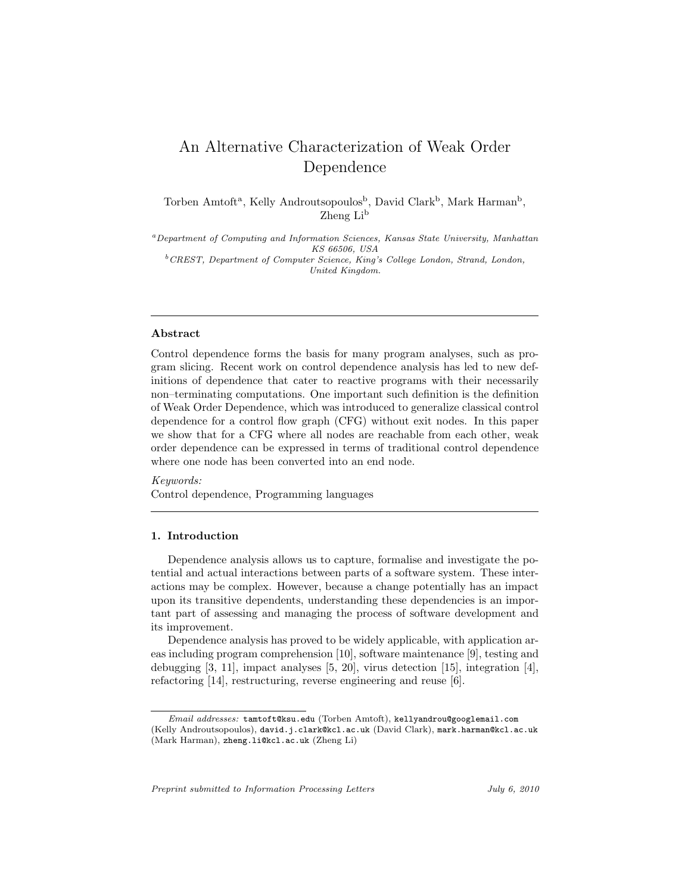# An Alternative Characterization of Weak Order Dependence

Torben Amtoft<sup>a</sup>, Kelly Androutsopoulos<sup>b</sup>, David Clark<sup>b</sup>, Mark Harman<sup>b</sup>, Zheng Li<sup>b</sup>

*<sup>a</sup>Department of Computing and Information Sciences, Kansas State University, Manhattan KS 66506, USA <sup>b</sup>CREST, Department of Computer Science, King's College London, Strand, London, United Kingdom.*

## Abstract

Control dependence forms the basis for many program analyses, such as program slicing. Recent work on control dependence analysis has led to new definitions of dependence that cater to reactive programs with their necessarily non–terminating computations. One important such definition is the definition of Weak Order Dependence, which was introduced to generalize classical control dependence for a control flow graph (CFG) without exit nodes. In this paper we show that for a CFG where all nodes are reachable from each other, weak order dependence can be expressed in terms of traditional control dependence where one node has been converted into an end node.

Keywords: Control dependence, Programming languages

#### 1. Introduction

Dependence analysis allows us to capture, formalise and investigate the potential and actual interactions between parts of a software system. These interactions may be complex. However, because a change potentially has an impact upon its transitive dependents, understanding these dependencies is an important part of assessing and managing the process of software development and its improvement.

Dependence analysis has proved to be widely applicable, with application areas including program comprehension [10], software maintenance [9], testing and debugging [3, 11], impact analyses [5, 20], virus detection [15], integration [4], refactoring [14], restructuring, reverse engineering and reuse [6].

*Preprint submitted to Information Processing Letters July 6, 2010*

*Email addresses:* tamtoft@ksu.edu (Torben Amtoft), kellyandrou@googlemail.com (Kelly Androutsopoulos), david.j.clark@kcl.ac.uk (David Clark), mark.harman@kcl.ac.uk (Mark Harman), zheng.li@kcl.ac.uk (Zheng Li)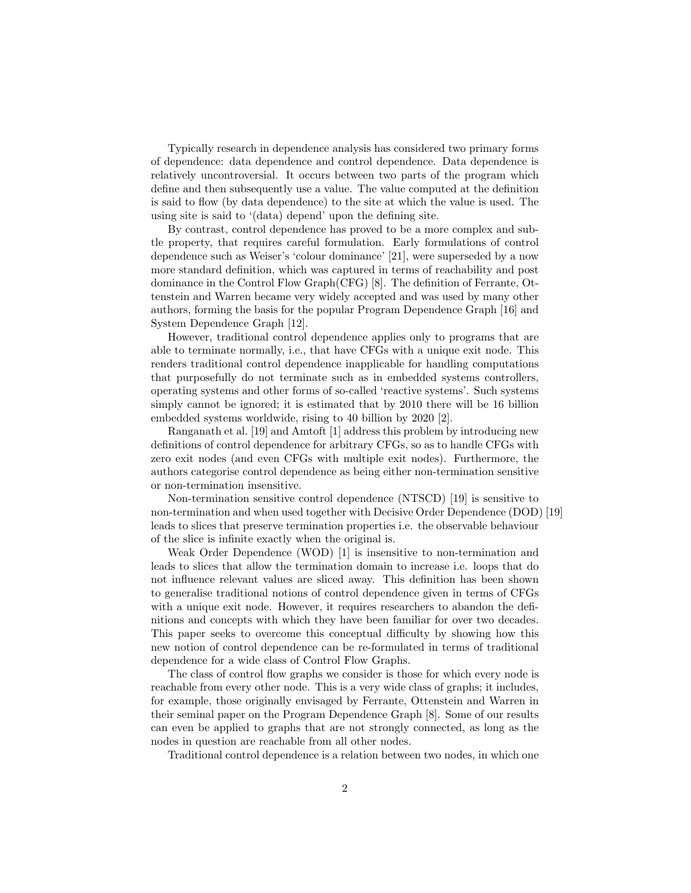Typically research in dependence analysis has considered two primary forms of dependence: data dependence and control dependence. Data dependence is relatively uncontroversial. It occurs between two parts of the program which define and then subsequently use a value. The value computed at the definition is said to flow (by data dependence) to the site at which the value is used. The using site is said to '(data) depend' upon the defining site.

By contrast, control dependence has proved to be a more complex and subtle property, that requires careful formulation. Early formulations of control dependence such as Weiser's 'colour dominance' [21], were superseded by a now more standard definition, which was captured in terms of reachability and post dominance in the Control Flow Graph(CFG) [8]. The definition of Ferrante, Ottenstein and Warren became very widely accepted and was used by many other authors, forming the basis for the popular Program Dependence Graph [16] and System Dependence Graph [12].

However, traditional control dependence applies only to programs that are able to terminate normally, i.e., that have CFGs with a unique exit node. This renders traditional control dependence inapplicable for handling computations that purposefully do not terminate such as in embedded systems controllers, operating systems and other forms of so-called 'reactive systems'. Such systems simply cannot be ignored; it is estimated that by 2010 there will be 16 billion embedded systems worldwide, rising to 40 billion by 2020 [2].

Ranganath et al. [19] and Amtoft [1] address this problem by introducing new definitions of control dependence for arbitrary CFGs, so as to handle CFGs with zero exit nodes (and even CFGs with multiple exit nodes). Furthermore, the authors categorise control dependence as being either non-termination sensitive or non-termination insensitive.

Non-termination sensitive control dependence (NTSCD) [19] is sensitive to non-termination and when used together with Decisive Order Dependence (DOD) [19] leads to slices that preserve termination properties i.e. the observable behaviour of the slice is infinite exactly when the original is.

Weak Order Dependence (WOD) [1] is insensitive to non-termination and leads to slices that allow the termination domain to increase i.e. loops that do not influence relevant values are sliced away. This definition has been shown to generalise traditional notions of control dependence given in terms of CFGs with a unique exit node. However, it requires researchers to abandon the definitions and concepts with which they have been familiar for over two decades. This paper seeks to overcome this conceptual difficulty by showing how this new notion of control dependence can be re-formulated in terms of traditional dependence for a wide class of Control Flow Graphs.

The class of control flow graphs we consider is those for which every node is reachable from every other node. This is a very wide class of graphs; it includes, for example, those originally envisaged by Ferrante, Ottenstein and Warren in their seminal paper on the Program Dependence Graph [8]. Some of our results can even be applied to graphs that are not strongly connected, as long as the nodes in question are reachable from all other nodes.

Traditional control dependence is a relation between two nodes, in which one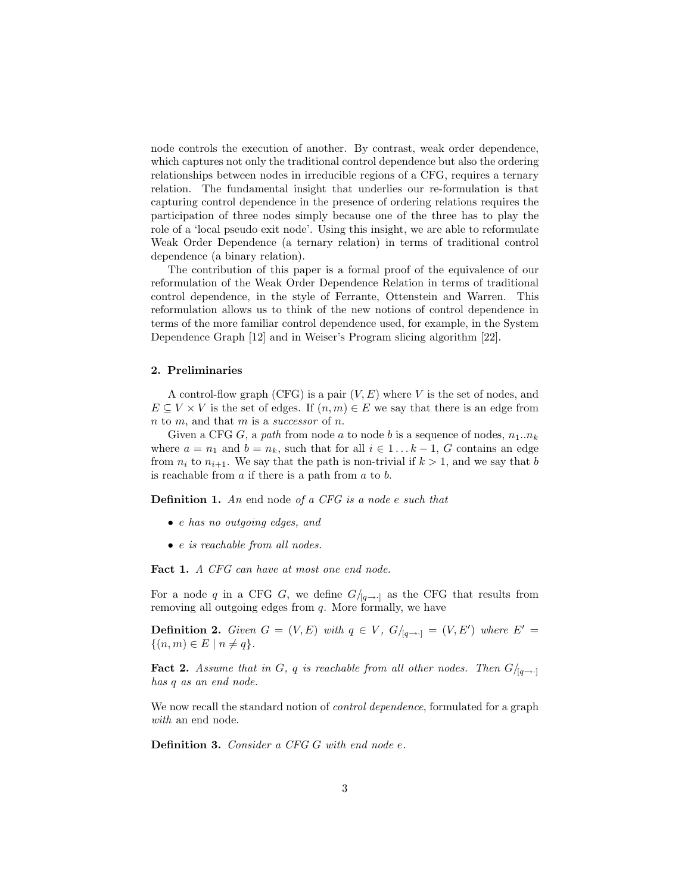node controls the execution of another. By contrast, weak order dependence, which captures not only the traditional control dependence but also the ordering relationships between nodes in irreducible regions of a CFG, requires a ternary relation. The fundamental insight that underlies our re-formulation is that capturing control dependence in the presence of ordering relations requires the participation of three nodes simply because one of the three has to play the role of a 'local pseudo exit node'. Using this insight, we are able to reformulate Weak Order Dependence (a ternary relation) in terms of traditional control dependence (a binary relation).

The contribution of this paper is a formal proof of the equivalence of our reformulation of the Weak Order Dependence Relation in terms of traditional control dependence, in the style of Ferrante, Ottenstein and Warren. This reformulation allows us to think of the new notions of control dependence in terms of the more familiar control dependence used, for example, in the System Dependence Graph [12] and in Weiser's Program slicing algorithm [22].

#### 2. Preliminaries

A control-flow graph (CFG) is a pair  $(V, E)$  where V is the set of nodes, and  $E \subseteq V \times V$  is the set of edges. If  $(n, m) \in E$  we say that there is an edge from n to m, and that m is a successor of n.

Given a CFG G, a path from node a to node b is a sequence of nodes,  $n_1..n_k$ where  $a = n_1$  and  $b = n_k$ , such that for all  $i \in 1...k-1$ , G contains an edge from  $n_i$  to  $n_{i+1}$ . We say that the path is non-trivial if  $k > 1$ , and we say that b is reachable from  $a$  if there is a path from  $a$  to  $b$ .

Definition 1. An end node of a CFG is a node e such that

- e has no outgoing edges, and
- e is reachable from all nodes.

Fact 1. A CFG can have at most one end node.

For a node q in a CFG G, we define  $G/_{[q\rightarrow\cdot]}$  as the CFG that results from removing all outgoing edges from q. More formally, we have

**Definition 2.** Given  $G = (V, E)$  with  $q \in V$ ,  $G/_{[q \rightarrow \cdot]} = (V, E')$  where  $E' =$  $\{(n,m)\in E \mid n\neq q\}.$ 

**Fact 2.** Assume that in G, q is reachable from all other nodes. Then  $G/_{[q \to \cdot]}$ has q as an end node.

We now recall the standard notion of *control dependence*, formulated for a graph with an end node.

Definition 3. Consider a CFG G with end node e.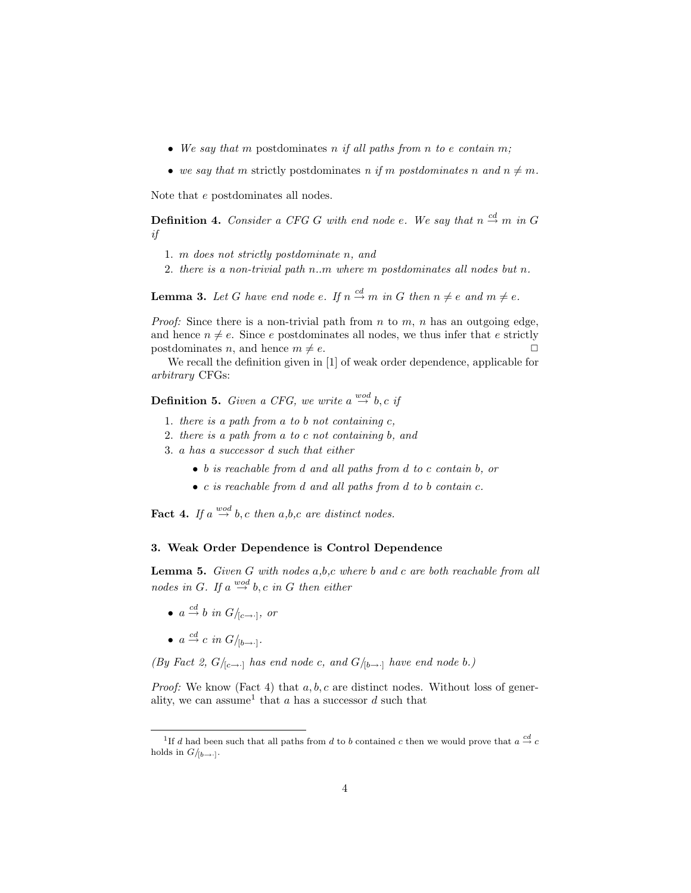- We say that m postdominates n if all paths from n to e contain m;
- we say that m strictly postdominates n if m postdominates n and  $n \neq m$ .

Note that e postdominates all nodes.

**Definition 4.** Consider a CFG G with end node e. We say that  $n \stackrel{cd}{\rightarrow} m$  in G if

- 1. m does not strictly postdominate n, and
- 2. there is a non-trivial path n..m where m postdominates all nodes but n.

**Lemma 3.** Let G have end node e. If  $n \stackrel{cd}{\rightarrow} m$  in G then  $n \neq e$  and  $m \neq e$ .

*Proof:* Since there is a non-trivial path from  $n$  to  $m$ ,  $n$  has an outgoing edge, and hence  $n \neq e$ . Since e postdominates all nodes, we thus infer that e strictly postdominates n and hence  $m \neq e$ postdominates *n*, and hence  $m \neq e$ .

We recall the definition given in [1] of weak order dependence, applicable for arbitrary CFGs:

**Definition 5.** Given a CFG, we write a  $\overset{wod}{\rightarrow}$  b, c if

- 1. there is a path from a to b not containing  $c$ ,
- 2. there is a path from a to c not containing b, and
- 3. a has a successor d such that either
	- b is reachable from d and all paths from d to c contain b, or
	- c is reachable from d and all paths from d to b contain c.

**Fact 4.** If  $a \stackrel{wod}{\rightarrow} b, c$  then  $a,b,c$  are distinct nodes.

## 3. Weak Order Dependence is Control Dependence

**Lemma 5.** Given G with nodes  $a,b,c$  where  $b$  and  $c$  are both reachable from all nodes in G. If  $a \stackrel{wod}{\rightarrow} b, c$  in G then either

- $a \stackrel{cd}{\rightarrow} b$  in  $G/_{[c \rightarrow \cdot]}$ , or
- $a \stackrel{cd}{\rightarrow} c$  in  $G/_{[b \rightarrow \cdot]}$ .

(By Fact 2,  $G/_{[c\rightarrow\cdot]}$  has end node c, and  $G/_{[b\rightarrow\cdot]}$  have end node b.)

*Proof:* We know (Fact 4) that  $a, b, c$  are distinct nodes. Without loss of generality, we can assume<sup>1</sup> that a has a successor  $d$  such that

<sup>&</sup>lt;sup>1</sup>If *d* had been such that all paths from *d* to *b* contained *c* then we would prove that  $a \stackrel{cd}{\rightarrow} c$ holds in  $G/_{[b \rightarrow \cdot]} .$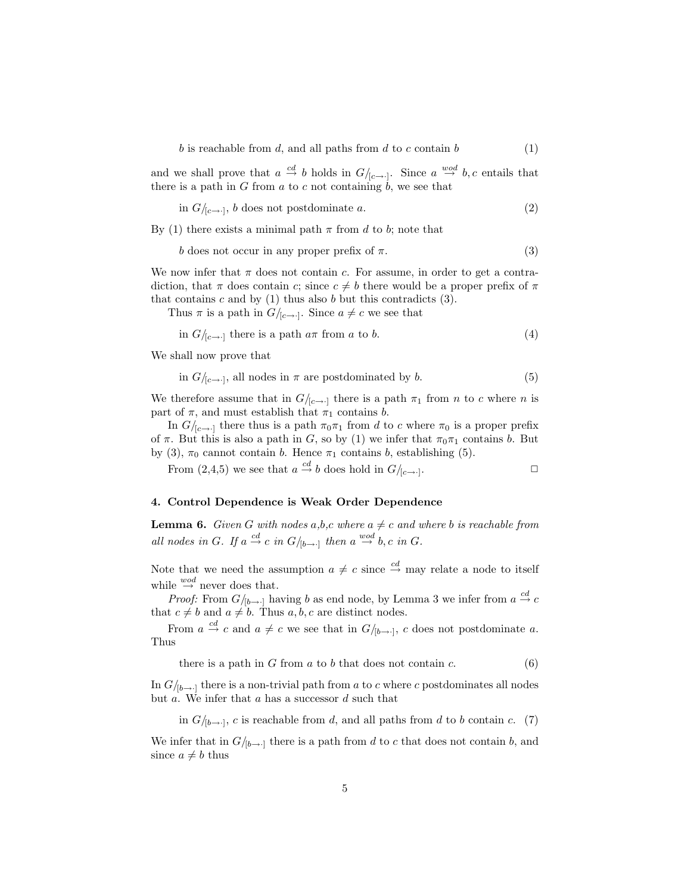b is reachable from d, and all paths from d to c contain  $b$  (1)

and we shall prove that  $a \stackrel{cd}{\to} b$  holds in  $G/_{[c \to \cdot]}$ . Since  $a \stackrel{wod}{\to} b, c$  entails that there is a path in G from a to c not containing  $\dot{b}$ , we see that

in 
$$
G/_{[c\rightarrow \cdot]}
$$
, *b* does not postdominate *a*. (2)

By (1) there exists a minimal path  $\pi$  from d to b; note that

$$
b \text{ does not occur in any proper prefix of } \pi.
$$
 (3)

We now infer that  $\pi$  does not contain c. For assume, in order to get a contradiction, that  $\pi$  does contain c; since  $c \neq b$  there would be a proper prefix of  $\pi$ that contains  $c$  and by (1) thus also  $b$  but this contradicts (3).

Thus  $\pi$  is a path in  $G/_{[c \to \cdot]}$ . Since  $a \neq c$  we see that

in 
$$
G/_{[c \to \cdot]}
$$
 there is a path  $a\pi$  from a to b. (4)

We shall now prove that

in 
$$
G/_{[c\rightarrow \cdot]}
$$
, all nodes in  $\pi$  are postdominated by b. (5)

We therefore assume that in  $G/_{[c\rightarrow c]}$  there is a path  $\pi_1$  from n to c where n is part of  $\pi$ , and must establish that  $\pi_1$  contains b.

In  $G/_{[c\rightarrow c]}$  there thus is a path  $\pi_0\pi_1$  from d to c where  $\pi_0$  is a proper prefix of  $\pi$ . But this is also a path in G, so by (1) we infer that  $\pi_0\pi_1$  contains b. But by (3),  $\pi_0$  cannot contain b. Hence  $\pi_1$  contains b, establishing (5).

From  $(2,4,5)$  we see that  $a \stackrel{cd}{\rightarrow} b$  does hold in  $G/_{[c \rightarrow \cdot]}$ .

### 4. Control Dependence is Weak Order Dependence

**Lemma 6.** Given G with nodes a,b,c where  $a \neq c$  and where b is reachable from all nodes in G. If  $a \stackrel{cd}{\rightarrow} c$  in  $G/_{[b \rightarrow \cdot]}$  then  $a \stackrel{wod}{\rightarrow} b, c$  in G.

Note that we need the assumption  $a \neq c$  since  $\stackrel{cd}{\rightarrow}$  may relate a node to itself while  $\stackrel{wod}{\rightarrow}$  never does that.

*Proof:* From  $G/_{[b\rightarrow\cdot]}$  having b as end node, by Lemma 3 we infer from  $a \stackrel{cd}{\rightarrow} c$ that  $c \neq b$  and  $a \neq b$ . Thus  $a, b, c$  are distinct nodes.

From  $a \stackrel{cd}{\to} c$  and  $a \neq c$  we see that in  $G/_{[b\to \cdot]}$ , c does not postdominate a. Thus

there is a path in  $G$  from  $a$  to  $b$  that does not contain  $c$ .  $(6)$ 

In  $G/_{b\rightarrow 0}$  there is a non-trivial path from a to c where c postdominates all nodes but  $a$ . We infer that  $a$  has a successor  $d$  such that

in  $G/_{[b\rightarrow 0]}$ , c is reachable from d, and all paths from d to b contain c. (7)

We infer that in  $G/_{b\rightarrow 0}$  there is a path from d to c that does not contain b, and since  $a \neq b$  thus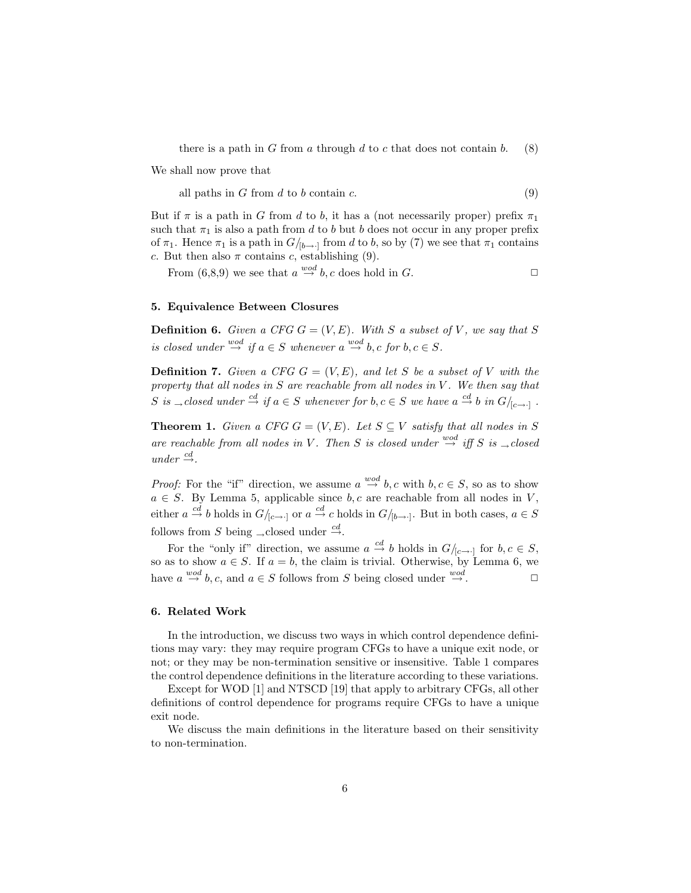there is a path in G from a through d to c that does not contain b.  $(8)$ 

We shall now prove that

all paths in  $G$  from  $d$  to  $b$  contain  $c$ . (9)

But if  $\pi$  is a path in G from d to b, it has a (not necessarily proper) prefix  $\pi_1$ such that  $\pi_1$  is also a path from d to b but b does not occur in any proper prefix of  $\pi_1$ . Hence  $\pi_1$  is a path in  $G/_{b\rightarrow 1}$  from d to b, so by (7) we see that  $\pi_1$  contains c. But then also  $\pi$  contains c, establishing (9).

From  $(6,8,9)$  we see that  $a \stackrel{wod}{\rightarrow} b, c$  does hold in G.

#### 5. Equivalence Between Closures

**Definition 6.** Given a CFG  $G = (V, E)$ . With S a subset of V, we say that S is closed under  $\overset{wod}{\rightarrow}$  if  $a \in S$  whenever  $a \overset{wod}{\rightarrow} b, c$  for  $b, c \in S$ .

**Definition 7.** Given a CFG  $G = (V, E)$ , and let S be a subset of V with the property that all nodes in  $S$  are reachable from all nodes in  $V$ . We then say that S is <sub> $\rightarrow$ </sub> closed under  $\stackrel{cd}{\rightarrow}$  if  $a \in S$  whenever for  $b, c \in S$  we have  $a \stackrel{cd}{\rightarrow} b$  in  $G/_{[c \rightarrow \cdot]}$ .

**Theorem 1.** Given a CFG  $G = (V, E)$ . Let  $S \subseteq V$  satisfy that all nodes in S are reachable from all nodes in V. Then S is closed under  $\stackrel{wod}{\rightarrow}$  iff S is  $\rightarrow$  closed  $under \overset{cd}{\rightarrow}$ .

*Proof:* For the "if" direction, we assume  $a \stackrel{wod}{\rightarrow} b, c$  with  $b, c \in S$ , so as to show  $a \in S$ . By Lemma 5, applicable since  $b, c$  are reachable from all nodes in V, either  $a \stackrel{cd}{\to} b$  holds in  $G/_{[c \to \cdot]}$  or  $a \stackrel{cd}{\to} c$  holds in  $G/_{[b \to \cdot]}$ . But in both cases,  $a \in S$ follows from S being <sub>→closed</sub> under  $\stackrel{cd}{\rightarrow}$ .

For the "only if" direction, we assume  $a \stackrel{cd}{\to} b$  holds in  $G/_{[c \to \cdot]}$  for  $b, c \in S$ , so as to show  $a \in S$ . If  $a = b$ , the claim is trivial. Otherwise, by Lemma 6, we have  $a \stackrel{wod}{\rightarrow} b, c$ , and  $a \in S$  follows from S being closed under  $\stackrel{wod}{\rightarrow}$ .

## 6. Related Work

In the introduction, we discuss two ways in which control dependence definitions may vary: they may require program CFGs to have a unique exit node, or not; or they may be non-termination sensitive or insensitive. Table 1 compares the control dependence definitions in the literature according to these variations.

Except for WOD [1] and NTSCD [19] that apply to arbitrary CFGs, all other definitions of control dependence for programs require CFGs to have a unique exit node.

We discuss the main definitions in the literature based on their sensitivity to non-termination.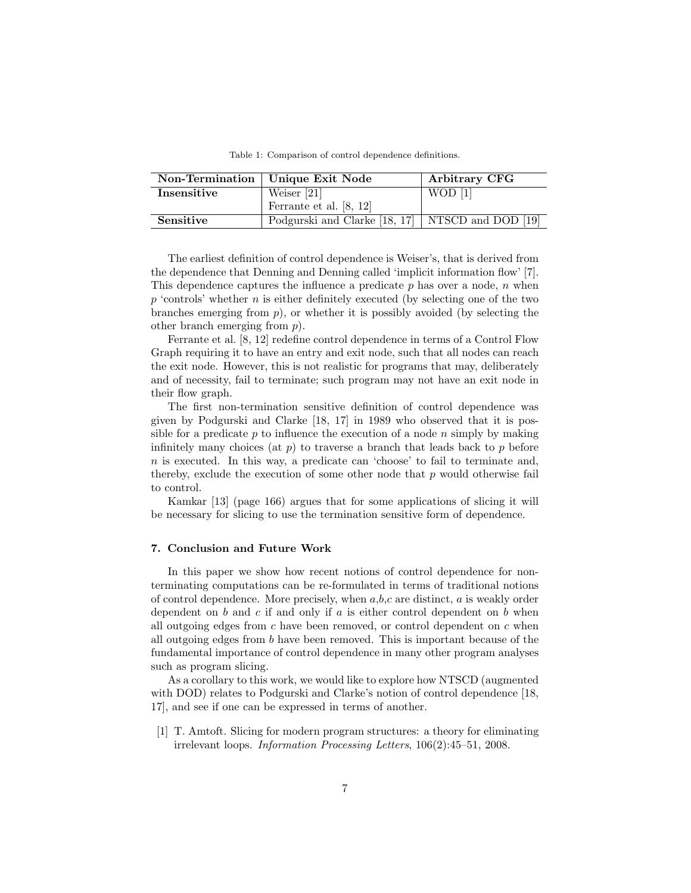|             | Non-Termination   Unique Exit Node                 | Arbitrary CFG |
|-------------|----------------------------------------------------|---------------|
| Insensitive | Weiser $[21]$                                      | $WOD$ [1]     |
|             | Ferrante et al. [8, 12]                            |               |
| Sensitive   | Podgurski and Clarke [18, 17]   NTSCD and DOD [19] |               |

Table 1: Comparison of control dependence definitions.

The earliest definition of control dependence is Weiser's, that is derived from the dependence that Denning and Denning called 'implicit information flow' [7]. This dependence captures the influence a predicate  $p$  has over a node,  $n$  when  $p$  'controls' whether  $n$  is either definitely executed (by selecting one of the two branches emerging from  $p$ ), or whether it is possibly avoided (by selecting the other branch emerging from p).

Ferrante et al. [8, 12] redefine control dependence in terms of a Control Flow Graph requiring it to have an entry and exit node, such that all nodes can reach the exit node. However, this is not realistic for programs that may, deliberately and of necessity, fail to terminate; such program may not have an exit node in their flow graph.

The first non-termination sensitive definition of control dependence was given by Podgurski and Clarke [18, 17] in 1989 who observed that it is possible for a predicate  $p$  to influence the execution of a node  $n$  simply by making infinitely many choices (at  $p$ ) to traverse a branch that leads back to  $p$  before n is executed. In this way, a predicate can 'choose' to fail to terminate and, thereby, exclude the execution of some other node that  $p$  would otherwise fail to control.

Kamkar [13] (page 166) argues that for some applications of slicing it will be necessary for slicing to use the termination sensitive form of dependence.

#### 7. Conclusion and Future Work

In this paper we show how recent notions of control dependence for nonterminating computations can be re-formulated in terms of traditional notions of control dependence. More precisely, when  $a,b,c$  are distinct,  $a$  is weakly order dependent on b and c if and only if a is either control dependent on b when all outgoing edges from  $c$  have been removed, or control dependent on  $c$  when all outgoing edges from b have been removed. This is important because of the fundamental importance of control dependence in many other program analyses such as program slicing.

As a corollary to this work, we would like to explore how NTSCD (augmented with DOD) relates to Podgurski and Clarke's notion of control dependence [18, 17], and see if one can be expressed in terms of another.

[1] T. Amtoft. Slicing for modern program structures: a theory for eliminating irrelevant loops. Information Processing Letters, 106(2):45–51, 2008.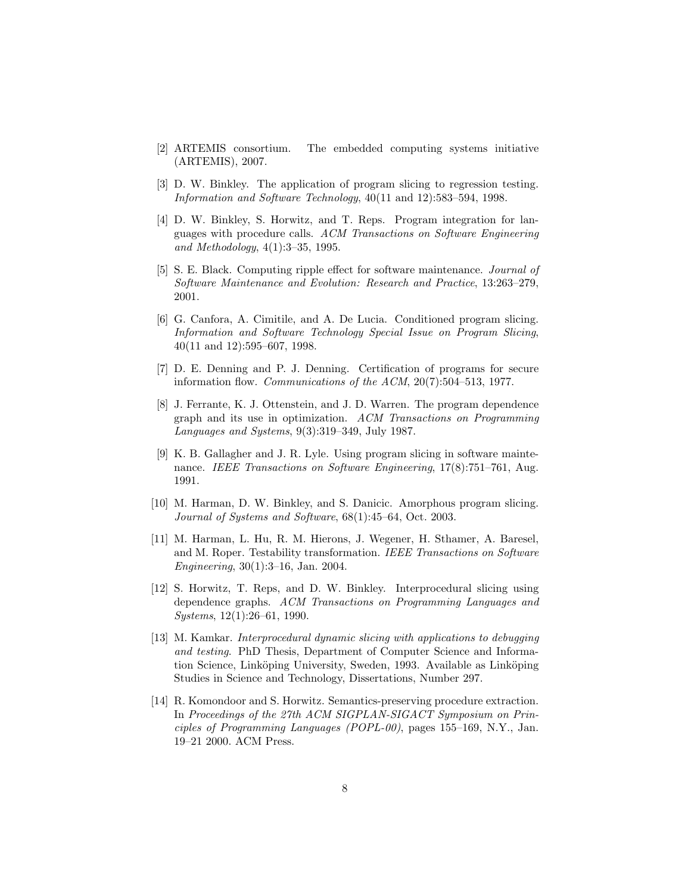- [2] ARTEMIS consortium. The embedded computing systems initiative (ARTEMIS), 2007.
- [3] D. W. Binkley. The application of program slicing to regression testing. Information and Software Technology, 40(11 and 12):583–594, 1998.
- [4] D. W. Binkley, S. Horwitz, and T. Reps. Program integration for languages with procedure calls. ACM Transactions on Software Engineering and Methodology, 4(1):3–35, 1995.
- [5] S. E. Black. Computing ripple effect for software maintenance. Journal of Software Maintenance and Evolution: Research and Practice, 13:263–279, 2001.
- [6] G. Canfora, A. Cimitile, and A. De Lucia. Conditioned program slicing. Information and Software Technology Special Issue on Program Slicing, 40(11 and 12):595–607, 1998.
- [7] D. E. Denning and P. J. Denning. Certification of programs for secure information flow. Communications of the ACM, 20(7):504–513, 1977.
- [8] J. Ferrante, K. J. Ottenstein, and J. D. Warren. The program dependence graph and its use in optimization. ACM Transactions on Programming Languages and Systems, 9(3):319–349, July 1987.
- [9] K. B. Gallagher and J. R. Lyle. Using program slicing in software maintenance. IEEE Transactions on Software Engineering, 17(8):751–761, Aug. 1991.
- [10] M. Harman, D. W. Binkley, and S. Danicic. Amorphous program slicing. Journal of Systems and Software, 68(1):45–64, Oct. 2003.
- [11] M. Harman, L. Hu, R. M. Hierons, J. Wegener, H. Sthamer, A. Baresel, and M. Roper. Testability transformation. IEEE Transactions on Software Engineering, 30(1):3–16, Jan. 2004.
- [12] S. Horwitz, T. Reps, and D. W. Binkley. Interprocedural slicing using dependence graphs. ACM Transactions on Programming Languages and Systems, 12(1):26–61, 1990.
- [13] M. Kamkar. Interprocedural dynamic slicing with applications to debugging and testing. PhD Thesis, Department of Computer Science and Information Science, Linköping University, Sweden, 1993. Available as Linköping Studies in Science and Technology, Dissertations, Number 297.
- [14] R. Komondoor and S. Horwitz. Semantics-preserving procedure extraction. In Proceedings of the 27th ACM SIGPLAN-SIGACT Symposium on Principles of Programming Languages (POPL-00), pages 155–169, N.Y., Jan. 19–21 2000. ACM Press.